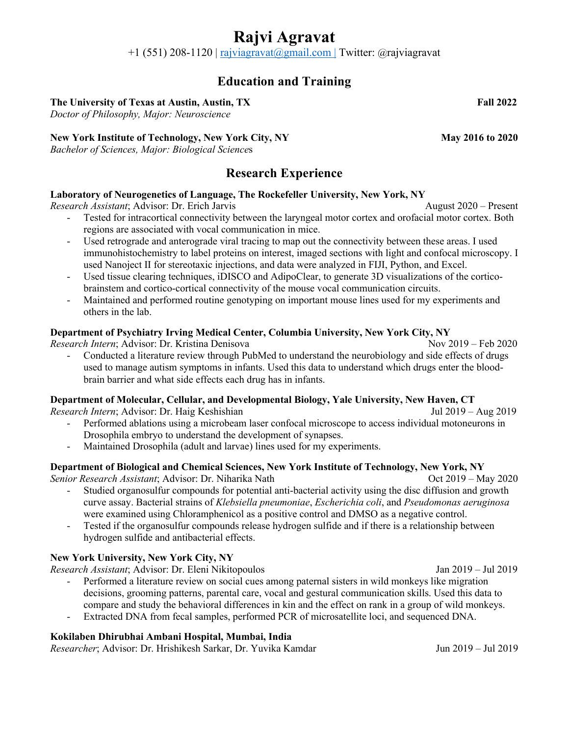# **Rajvi Agravat**

 $+1$  (551) 208-1120 | rajviagravat@gmail.com | Twitter: @rajviagravat

## **Education and Training**

### **The University of Texas at Austin, Austin, TX Fall 2022**

*Doctor of Philosophy, Major: Neuroscience*

### New York Institute of Technology, New York City, NY May 2016 to 2020

*Bachelor of Sciences, Major: Biological Science*s

# **Research Experience**

### **Laboratory of Neurogenetics of Language, The Rockefeller University, New York, NY**

*Research Assistant*; Advisor: Dr. Erich Jarvis August 2020 – Present

- Tested for intracortical connectivity between the laryngeal motor cortex and orofacial motor cortex. Both regions are associated with vocal communication in mice.
- Used retrograde and anterograde viral tracing to map out the connectivity between these areas. I used immunohistochemistry to label proteins on interest, imaged sections with light and confocal microscopy. I used Nanoject II for stereotaxic injections, and data were analyzed in FIJI, Python, and Excel.
- Used tissue clearing techniques, iDISCO and AdipoClear, to generate 3D visualizations of the corticobrainstem and cortico-cortical connectivity of the mouse vocal communication circuits.
- Maintained and performed routine genotyping on important mouse lines used for my experiments and others in the lab.

### **Department of Psychiatry Irving Medical Center, Columbia University, New York City, NY**

*Research Intern*; Advisor: Dr. Kristina Denisova Nov 2019 – Feb 2020

- Conducted a literature review through PubMed to understand the neurobiology and side effects of drugs used to manage autism symptoms in infants. Used this data to understand which drugs enter the bloodbrain barrier and what side effects each drug has in infants.

### **Department of Molecular, Cellular, and Developmental Biology, Yale University, New Haven, CT**

*Research Intern*; Advisor: Dr. Haig KeshishianJul 2019 – Aug 2019

- Performed ablations using a microbeam laser confocal microscope to access individual motoneurons in Drosophila embryo to understand the development of synapses.
- Maintained Drosophila (adult and larvae) lines used for my experiments.

### **Department of Biological and Chemical Sciences, New York Institute of Technology, New York, NY**

*Senior Research Assistant*; Advisor: Dr. Niharika Nath Oct 2019 – May 2020

- Studied organosulfur compounds for potential anti-bacterial activity using the disc diffusion and growth curve assay. Bacterial strains of *Klebsiella pneumoniae*, *Escherichia coli*, and *Pseudomonas aeruginosa* were examined using Chloramphenicol as a positive control and DMSO as a negative control.
- Tested if the organosulfur compounds release hydrogen sulfide and if there is a relationship between hydrogen sulfide and antibacterial effects.

### **New York University, New York City, NY**

*Research Assistant*; Advisor: Dr. Eleni Nikitopoulos Jan 2019 – Jul 2019

- Performed a literature review on social cues among paternal sisters in wild monkeys like migration decisions, grooming patterns, parental care, vocal and gestural communication skills. Used this data to compare and study the behavioral differences in kin and the effect on rank in a group of wild monkeys.
- Extracted DNA from fecal samples, performed PCR of microsatellite loci, and sequenced DNA.

### **Kokilaben Dhirubhai Ambani Hospital, Mumbai, India**

*Researcher*; Advisor: Dr. Hrishikesh Sarkar, Dr. Yuvika Kamdar Jun 2019 – Jul 2019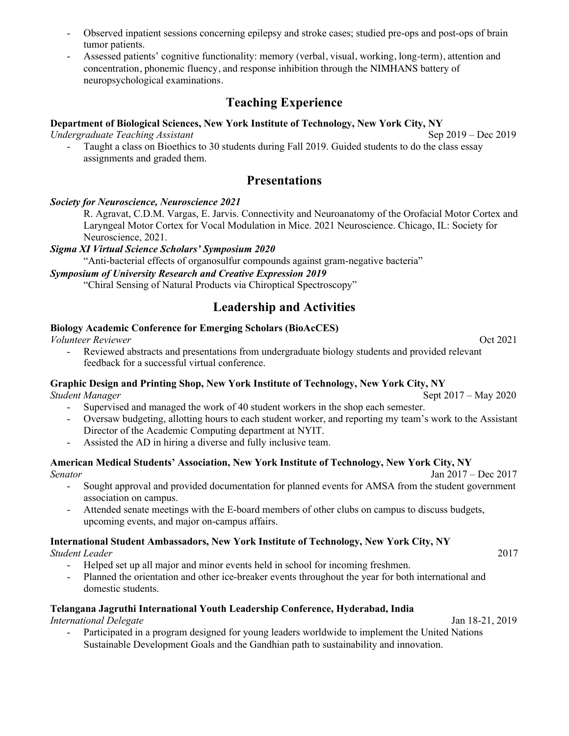- Observed inpatient sessions concerning epilepsy and stroke cases; studied pre-ops and post-ops of brain tumor patients.
- Assessed patients' cognitive functionality: memory (verbal, visual, working, long-term), attention and concentration, phonemic fluency, and response inhibition through the NIMHANS battery of neuropsychological examinations.

# **Teaching Experience**

#### **Department of Biological Sciences, New York Institute of Technology, New York City, NY** *Undergraduate Teaching Assistant* **Sep 2019** – Dec 2019 – Dec 2019

Taught a class on Bioethics to 30 students during Fall 2019. Guided students to do the class essay assignments and graded them.

### **Presentations**

#### *Society for Neuroscience, Neuroscience 2021*

R. Agravat, C.D.M. Vargas, E. Jarvis. Connectivity and Neuroanatomy of the Orofacial Motor Cortex and Laryngeal Motor Cortex for Vocal Modulation in Mice. 2021 Neuroscience. Chicago, IL: Society for Neuroscience, 2021.

#### *Sigma XI Virtual Science Scholars' Symposium 2020*

"Anti-bacterial effects of organosulfur compounds against gram-negative bacteria"

### *Symposium of University Research and Creative Expression 2019*

"Chiral Sensing of Natural Products via Chiroptical Spectroscopy"

### **Leadership and Activities**

### **Biology Academic Conference for Emerging Scholars (BioAcCES)**

*Volunteer Reviewer* Oct 2021

Reviewed abstracts and presentations from undergraduate biology students and provided relevant feedback for a successful virtual conference.

### **Graphic Design and Printing Shop, New York Institute of Technology, New York City, NY**

*Student Manager* Sept 2017 – May 2020

- Supervised and managed the work of 40 student workers in the shop each semester.
- Oversaw budgeting, allotting hours to each student worker, and reporting my team's work to the Assistant Director of the Academic Computing department at NYIT.
- Assisted the AD in hiring a diverse and fully inclusive team.

#### **American Medical Students' Association, New York Institute of Technology, New York City, NY** *Senator* Jan 2017 – Dec 2017

- Sought approval and provided documentation for planned events for AMSA from the student government association on campus.
- Attended senate meetings with the E-board members of other clubs on campus to discuss budgets, upcoming events, and major on-campus affairs.

#### **International Student Ambassadors, New York Institute of Technology, New York City, NY** *Student Leader* 2017

- Helped set up all major and minor events held in school for incoming freshmen.
- Planned the orientation and other ice-breaker events throughout the year for both international and domestic students.

### **Telangana Jagruthi International Youth Leadership Conference, Hyderabad, India**

*International Delegate* Jan 18-21, 2019

Participated in a program designed for young leaders worldwide to implement the United Nations Sustainable Development Goals and the Gandhian path to sustainability and innovation.